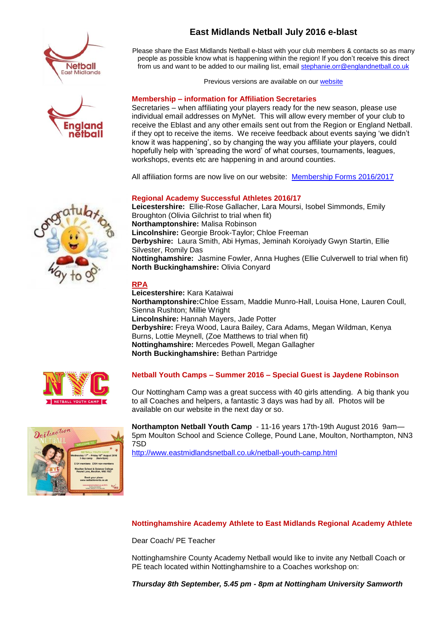



Please share the East Midlands Netball e-blast with your club members & contacts so as many people as possible know what is happening within the region! If you don't receive this direct from us and want to be added to our mailing list, email [stephanie.orr@englandnetball.co.uk](mailto:stephanie.orr@englandnetball.co.uk)

Previous versions are available on our [website](http://www.eastmidlandsnetball.co.uk/e-blast.html)

#### **Membership – information for Affiliation Secretaries**

Secretaries – when affiliating your players ready for the new season, please use individual email addresses on MyNet. This will allow every member of your club to receive the Eblast and any other emails sent out from the Region or England Netball. if they opt to receive the items. We receive feedback about events saying 'we didn't know it was happening', so by changing the way you affiliate your players, could hopefully help with 'spreading the word' of what courses, tournaments, leagues, workshops, events etc are happening in and around counties.

All affiliation forms are now live on our website: [Membership Forms 2016/2017](http://www.eastmidlandsnetball.co.uk/membership.html)

#### **Regional Academy Successful Athletes 2016/17**

**Leicestershire:** Ellie-Rose Gallacher, Lara Moursi, Isobel Simmonds, Emily Broughton (Olivia Gilchrist to trial when fit) **Northamptonshire:** Malisa Robinson **Lincolnshire:** Georgie Brook-Taylor; Chloe Freeman **Derbyshire:** Laura Smith, Abi Hymas, Jeminah Koroiyady Gwyn Startin, Ellie Silvester, Romily Das **Nottinghamshire:** Jasmine Fowler, Anna Hughes (Ellie Culverwell to trial when fit) **North Buckinghamshire:** Olivia Conyard

## **RPA**

**Leicestershire:** Kara Kataiwai **Northamptonshire:**Chloe Essam, Maddie Munro-Hall, Louisa Hone, Lauren Coull, Sienna Rushton; Millie Wright **Lincolnshire:** Hannah Mayers, Jade Potter **Derbyshire:** Freya Wood, Laura Bailey, Cara Adams, Megan Wildman, Kenya Burns, Lottie Meynell, (Zoe Matthews to trial when fit) **Nottinghamshire:** Mercedes Powell, Megan Gallagher **North Buckinghamshire:** Bethan Partridge

**Netball Youth Camps – Summer 2016 – Special Guest is Jaydene Robinson**

Our Nottingham Camp was a great success with 40 girls attending. A big thank you to all Coaches and helpers, a fantastic 3 days was had by all. Photos will be





**Northampton Netball Youth Camp** - 11-16 years 17th-19th August 2016 9am— 5pm Moulton School and Science College, Pound Lane, Moulton, Northampton, NN3 7SD

<http://www.eastmidlandsnetball.co.uk/netball-youth-camp.html>

available on our website in the next day or so.

#### **Nottinghamshire Academy Athlete to East Midlands Regional Academy Athlete**

Dear Coach/ PE Teacher

Nottinghamshire County Academy Netball would like to invite any Netball Coach or PE teach located within Nottinghamshire to a Coaches workshop on:

*Thursday 8th September, 5.45 pm - 8pm at Nottingham University Samworth* 



## **East Midlands Netball July 2016 e-blast**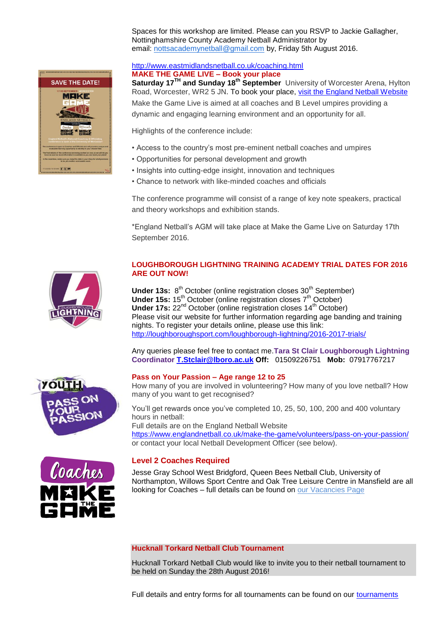Spaces for this workshop are limited. Please can you RSVP to Jackie Gallagher, Nottinghamshire County Academy Netball Administrator by email: [nottsacademynetball@gmail.com](mailto:nottsacademynetball@gmail.com) by, Friday 5th August 2016.

# **SAVE THE DATE! MEJKE**

#### <http://www.eastmidlandsnetball.co.uk/coaching.html> **MAKE THE GAME LIVE – Book your place**

**Saturday 17TH and Sunday 18th September** University of Worcester Arena, Hylton Road, Worcester, WR2 5 JN. To book your place, [visit the England Netball Website](https://www.englandnetball.co.uk/make-game-live-2016/) Make the Game Live is aimed at all coaches and B Level umpires providing a dynamic and engaging learning environment and an opportunity for all.

Highlights of the conference include:

- Access to the country's most pre-eminent netball coaches and umpires
- Opportunities for personal development and growth
- Insights into cutting-edge insight, innovation and techniques
- Chance to network with like-minded coaches and officials

The conference programme will consist of a range of key note speakers, practical and theory workshops and exhibition stands.

\*England Netball's AGM will take place at Make the Game Live on Saturday 17th September 2016.

# **LOUGHBOROUGH LIGHTNING TRAINING ACADEMY TRIAL DATES FOR 2016 ARE OUT NOW!**

Under 13s: 8<sup>th</sup> October (online registration closes 30<sup>th</sup> September) Under 15s: 15<sup>th</sup> October (online registration closes 7<sup>th</sup> October) Under 17s: 22<sup>nd</sup> October (online registration closes 14<sup>th</sup> October) Please visit our website for further information regarding age banding and training nights. To register your details online, please use this link: <http://loughboroughsport.com/loughborough-lightning/2016-2017-trials/>

Any queries please feel free to contact me.**Tara St Clair Loughborough Lightning Coordinator [T.Stclair@lboro.ac.uk](mailto:T.Stclair@lboro.ac.uk) Off:** 01509226751 **Mob:** 07917767217

#### **Pass on Your Passion – Age range 12 to 25**

How many of you are involved in volunteering? How many of you love netball? How many of you want to get recognised?

You'll get rewards once you've completed 10, 25, 50, 100, 200 and 400 voluntary hours in netball: Full details are on the England Netball Website <https://www.englandnetball.co.uk/make-the-game/volunteers/pass-on-your-passion/> or contact your local Netball Development Officer (see below).

#### **Level 2 Coaches Required**

Jesse Gray School West Bridgford, Queen Bees Netball Club, University of Northampton, Willows Sport Centre and Oak Tree Leisure Centre in Mansfield are all looking for Coaches – full details can be found on [our Vacancies Page](http://www.eastmidlandsnetball.co.uk/current-vacancies.html)

#### **Hucknall Torkard Netball Club Tournament**

Hucknall Torkard Netball Club would like to invite you to their netball tournament to be held on Sunday the 28th August 2016!

Full details and entry forms for all tournaments can be found on our [tournaments](http://www.eastmidlandsnetball.co.uk/upcoming-tournaments.html) 



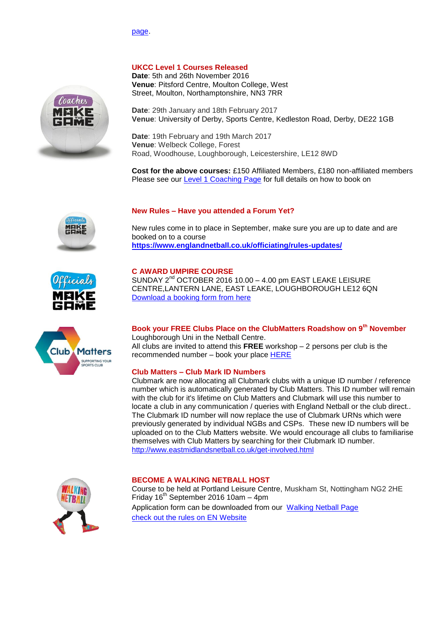[page.](http://www.eastmidlandsnetball.co.uk/upcoming-tournaments.html)

#### **UKCC Level 1 Courses Released**

**Date**: 5th and 26th November 2016 **Venue**: Pitsford Centre, Moulton College, West Street, Moulton, Northamptonshire, NN3 7RR

**Date**: 29th January and 18th February 2017 **Venue**: University of Derby, Sports Centre, Kedleston Road, Derby, DE22 1GB

**Date**: 19th February and 19th March 2017 **Venue**: Welbeck College, Forest Road, Woodhouse, Loughborough, Leicestershire, LE12 8WD

**Cost for the above courses:** £150 Affiliated Members, £180 non-affiliated members Please see our [Level 1 Coaching Page](http://www.eastmidlandsnetball.co.uk/ukcc-level-1.html) for full details on how to book on





#### **New Rules – Have you attended a Forum Yet?**

New rules come in to place in September, make sure you are up to date and are booked on to a course **<https://www.englandnetball.co.uk/officiating/rules-updates/>**

#### **C AWARD UMPIRE COURSE**

SUNDAY 2<sup>nd</sup> OCTOBER 2016 10.00 - 4.00 pm EAST LEAKE LEISURE CENTRE,LANTERN LANE, EAST LEAKE, LOUGHBOROUGH LE12 6QN [Download a booking form from here](http://www.eastmidlandsnetball.co.uk/off-c-award.html)

#### **Book your FREE Clubs Place on the ClubMatters Roadshow on 9th November** Loughborough Uni in the Netball Centre.

All clubs are invited to attend this **FREE** workshop – 2 persons per club is the recommended number – book your place [HERE](https://learn.sportenglandclubmatters.com/totara/coursecatalog/seminars.php?_ga=1.130276495.1671258300.1461836393)

#### **Club Matters – Club Mark ID Numbers**

Clubmark are now allocating all Clubmark clubs with a unique ID number / reference number which is automatically generated by Club Matters. This ID number will remain with the club for it's lifetime on Club Matters and Clubmark will use this number to locate a club in any communication / queries with England Netball or the club direct.. The Clubmark ID number will now replace the use of Clubmark URNs which were previously generated by individual NGBs and CSPs. These new ID numbers will be uploaded on to the Club Matters website. We would encourage all clubs to familiarise themselves with Club Matters by searching for their Clubmark ID number. <http://www.eastmidlandsnetball.co.uk/get-involved.html>



#### **BECOME A WALKING NETBALL HOST**

Course to be held at Portland Leisure Centre, Muskham St, Nottingham NG2 2HE Friday  $16<sup>th</sup>$  September 2016 10am – 4pm Application form can be downloaded from our[Walking Netball Page](http://www.eastmidlandsnetball.co.uk/walking-netball.html) [check out the rules on EN Website](http://www.englandnetball.co.uk/my-game/Walking_Netball)

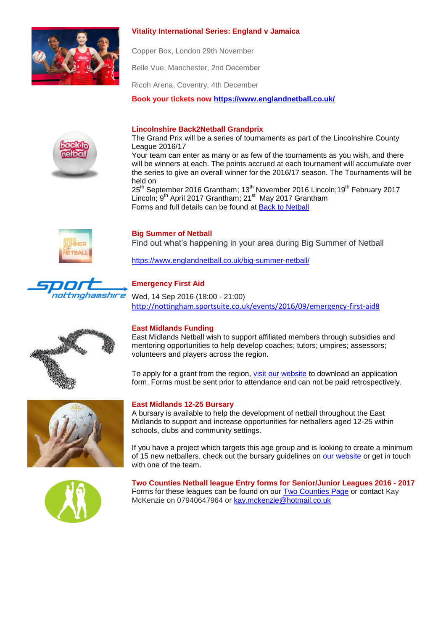

Copper Box, London 29th November

Belle Vue, Manchester, 2nd December

Ricoh Arena, Coventry, 4th December

**Book your tickets now<https://www.englandnetball.co.uk/>**



#### **Lincolnshire Back2Netball Grandprix**

The Grand Prix will be a series of tournaments as part of the Lincolnshire County League 2016/17

Your team can enter as many or as few of the tournaments as you wish, and there will be winners at each. The points accrued at each tournament will accumulate over the series to give an overall winner for the 2016/17 season. The Tournaments will be held on

25<sup>th</sup> September 2016 Grantham; 13<sup>th</sup> November 2016 Lincoln;19<sup>th</sup> February 2017 Lincoln; 9<sup>th</sup> April 2017 Grantham; 21<sup>st</sup> May 2017 Grantham Forms and full details can be found at [Back to Netball](http://www.eastmidlandsnetball.co.uk/back-to-netball.html)



**Big Summer of Netball** Find out what's happening in your area during Big Summer of Netball

<https://www.englandnetball.co.uk/big-summer-netball/>



## **Emergency First Aid**

Wed, 14 Sep 2016 (18:00 - 21:00) <http://nottingham.sportsuite.co.uk/events/2016/09/emergency-first-aid8>

#### **East Midlands Funding**

East Midlands Netball wish to support affiliated members through subsidies and mentoring opportunities to help develop coaches; tutors; umpires; assessors; volunteers and players across the region.

To apply for a grant from the region, [visit our website](http://www.eastmidlandsnetball.co.uk/regional-funding.html) to download an application form. Forms must be sent prior to attendance and can not be paid retrospectively.



#### **East Midlands 12-25 Bursary**

A bursary is available to help the development of netball throughout the East Midlands to support and increase opportunities for netballers aged 12-25 within schools, clubs and community settings.

If you have a project which targets this age group and is looking to create a minimum of 15 new netballers, check out the bursary guidelines on [our website](http://www.eastmidlandsnetball.co.uk/funding.html) or get in touch with one of the team.



**Two Counties Netball league Entry forms for Senior/Junior Leagues 2016 - 2017** Forms for these leagues can be found on our [Two Counties Page](http://www.eastmidlandsnetball.co.uk/two-counties.html) or contact Kay McKenzie on 07940647964 or [kay.mckenzie@hotmail.co.uk](mailto:kay.mckenzie@hotmail.co.uk)

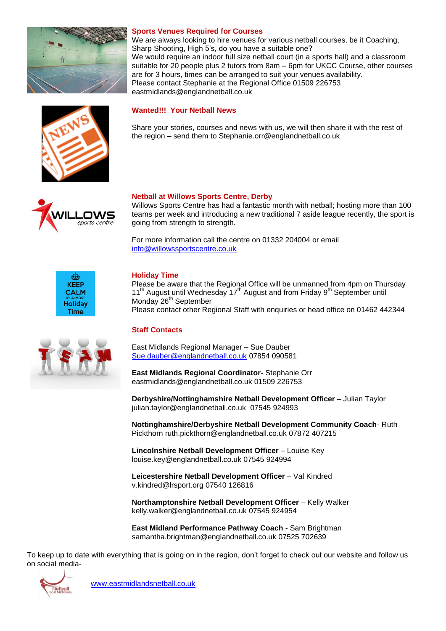

#### **Sports Venues Required for Courses**

We are always looking to hire venues for various netball courses, be it Coaching, Sharp Shooting, High 5's, do you have a suitable one? We would require an indoor full size netball court (in a sports hall) and a classroom suitable for 20 people plus 2 tutors from 8am – 6pm for UKCC Course, other courses are for 3 hours, times can be arranged to suit your venues availability. Please contact Stephanie at the Regional Office 01509 226753 eastmidlands@englandnetball.co.uk

#### **Wanted!!! Your Netball News**

Share your stories, courses and news with us, we will then share it with the rest of the region – send them to Stephanie.orr@englandnetball.co.uk



#### **Netball at Willows Sports Centre, Derby**

Willows Sports Centre has had a fantastic month with netball; hosting more than 100 teams per week and introducing a new traditional 7 aside league recently, the sport is going from strength to strength.

For more information call the centre on 01332 204004 or email [info@willowssportscentre.co.uk](mailto:info@willowssportscentre.co.uk)



#### **Holiday Time**

Please be aware that the Regional Office will be unmanned from 4pm on Thursday 11<sup>th</sup> August until Wednesday 17<sup>th</sup> August and from Friday 9<sup>th</sup> September until Monday 26<sup>th</sup> September

Please contact other Regional Staff with enquiries or head office on 01462 442344

#### **Staff Contacts**



East Midlands Regional Manager – Sue Dauber [Sue.dauber@englandnetball.co.uk](mailto:Sue.dauber@englandnetball.co.uk) 07854 090581

**East Midlands Regional Coordinator-** Stephanie Orr eastmidlands@englandnetball.co.uk 01509 226753

**Derbyshire/Nottinghamshire Netball Development Officer** – Julian Taylor julian.taylor@englandnetball.co.uk 07545 924993

**Nottinghamshire/Derbyshire Netball Development Community Coach**- Ruth Pickthorn ruth.pickthorn@englandnetball.co.uk 07872 407215

**Lincolnshire Netball Development Officer** – Louise Key louise.key@englandnetball.co.uk 07545 924994

**Leicestershire Netball Development Officer** – Val Kindred v.kindred@lrsport.org 07540 126816

**Northamptonshire Netball Development Officer** – Kelly Walker kelly.walker@englandnetball.co.uk 07545 924954

**East Midland Performance Pathway Coach** - Sam Brightman samantha.brightman@englandnetball.co.uk 07525 702639

To keep up to date with everything that is going on in the region, don't forget to check out our website and follow us on social media-



[www.eastmidlandsnetball.co.uk](http://www.eastmidlandsnetball.co.uk/)